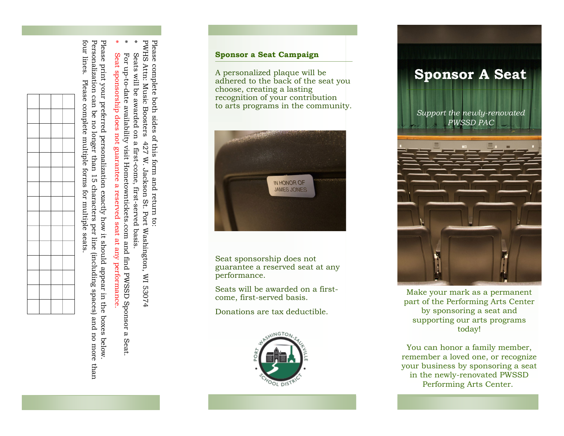PWHS Attn: Music Boosters 427 W. Jackson St. Port Washington, WI 53074 PWHS Attn: Music Boosters Seats will be awarded on a first-come, first-served basis. Seats will be awarded on a first-come, first-served basis.

- ∗
- 
- 
- ∗
- ∗
- Seat sponsorship does Seat sponsorship does not guarantee a reserved seat at any performance. not guarantee a reserved seat at any performance

Please print your preferred personalization exactly how it should appear in the boxes below Please print your preferred personalization exactly how it should appear in the boxes below.

four lines. Please complete multiple forms for multiple seats. four lines. Personalization can be no longer than 15 characters per line (including spaces) and no more than Personalization can be no longer than 15 characters per line (including spaces) and no more than Please complete multiple forms for multiple seats





- 
- 
- 
- 
- 
- 
- 
- 
- 
- 
- 
- 







IN HONOR OF

**JAMES JONES** 

Seats will be awarded on a first come, first -served basis.

Donations are tax deductible.

**Sponsor a Seat Campaign**

choose, creating a lasting

A personalized plaque will be



## **Sponsor A Seat** *Support the newly -renovated PWSSD PAC*



Make your mark as a permanent part of the Performing Arts Center by sponsoring a seat and supporting our arts programs today!

You can honor a family member, remember a loved one, or recognize your business by sponsoring a seat in the newly -renovated PWSSD Performing Arts Center.